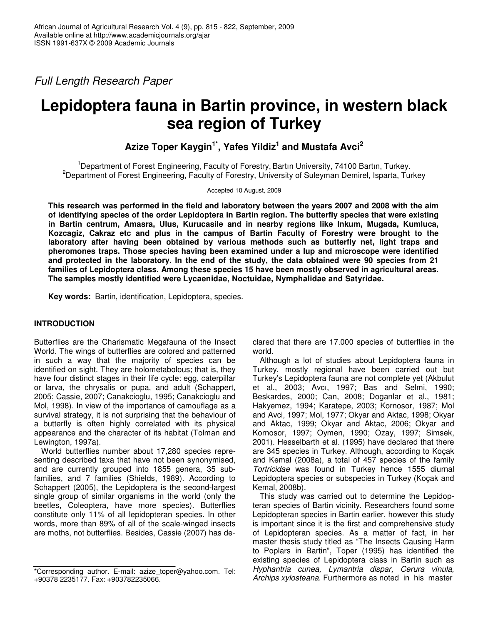*Full Length Research Paper*

# **Lepidoptera fauna in Bartin province, in western black sea region of Turkey**

**Azize Toper Kaygin 1\* , Yafes Yildiz 1 and Mustafa Avci 2**

<sup>1</sup>Department of Forest Engineering, Faculty of Forestry, Bartın University, 74100 Bartın, Turkey. <sup>2</sup>Department of Forest Engineering, Faculty of Forestry, University of Suleyman Demirel, Isparta, Turkey

Accepted 10 August, 2009

This research was performed in the field and laboratory between the years 2007 and 2008 with the aim **of identifying species of the order Lepidoptera in Bartin region. The butterfly species that were existing in Bartin centrum, Amasra, Ulus, Kurucasile and in nearby regions like Inkum, Mugada, Kumluca, Kozcagiz, Cakraz etc and plus in the campus of Bartin Faculty of Forestry were brought to the laboratory after having been obtained by various methods such as butterfly net, light traps and pheromones traps. Those species having been examined under a lup and microscope were identified** and protected in the laboratory. In the end of the study, the data obtained were 90 species from 21 **families of Lepidoptera class. Among these species 15 have been mostly observed in agricultural areas. The samples mostly identified were Lycaenidae, Noctuidae, Nymphalidae and Satyridae.**

**Key words:** Bartin, identification, Lepidoptera, species.

# **INTRODUCTION**

Butterflies are the Charismatic Megafauna of the Insect World. The wings of butterflies are colored and patterned in such a way that the majority of species can be identified on sight. They are holometabolous; that is, they have four distinct stages in their life cycle: egg, caterpillar or larva, the chrysalis or pupa, and adult (Schappert, 2005; Cassie, 2007; Canakcioglu, 1995; Canakcioglu and Mol, 1998). In view of the importance of camouflage as a survival strategy, it is not surprising that the behaviour of a butterfly is often highly correlated with its physical appearance and the character of its habitat (Tolman and Lewington, 1997a).

World butterflies number about 17,280 species representing described taxa that have not been synonymised, and are currently grouped into 1855 genera, 35 subfamilies, and 7 families (Shields, 1989). According to Schappert (2005), the Lepidoptera is the second-largest single group of similar organisms in the world (only the beetles, Coleoptera, have more species). Butterflies constitute only 11% of all lepidopteran species. In other words, more than 89% of all of the scale-winged insects are moths, not butterflies. Besides, Cassie (2007) has declared that there are 17.000 species of butterflies in the world.

Although a lot of studies about Lepidoptera fauna in Turkey, mostly regional have been carried out but Turkey's Lepidoptera fauna are not complete yet (Akbulut et al., 2003; Avcı, 1997; Bas and Selmi, 1990; Beskardes, 2000; Can, 2008; Doganlar et al., 1981; Hakyemez, 1994; Karatepe, 2003; Kornosor, 1987; Mol and Avci, 1997; Mol, 1977; Okyar and Aktac, 1998; Okyar and Aktac, 1999; Okyar and Aktac, 2006; Okyar and Kornosor, 1997; Oymen, 1990; Ozay, 1997; Simsek, 2001). Hesselbarth et al. (1995) have declared that there are 345 species in Turkey. Although, according to Koçak and Kemal (2008a), a total of 457 species of the family *Tortricidae* was found in Turkey hence 1555 diurnal Lepidoptera species or subspecies in Turkey (Koçak and Kemal, 2008b).

This study was carried out to determine the Lepidopteran species of Bartin vicinity. Researchers found some Lepidopteran species in Bartin earlier, however this study is important since it is the first and comprehensive study of Lepidopteran species. As a matter of fact, in her master thesis study titled as "The Insects Causing Harm to Poplars in Bartin", Toper (1995) has identified the existing species of Lepidoptera class in Bartin such as *Hyphantria cunea, Lymantria dispar, Cerura vinula, Archips xylosteana*. Furthermore as noted in his master

<sup>\*</sup>Corresponding author. E-mail: azize\_toper@yahoo.com. Tel: +90378 2235177. Fax: +903782235066.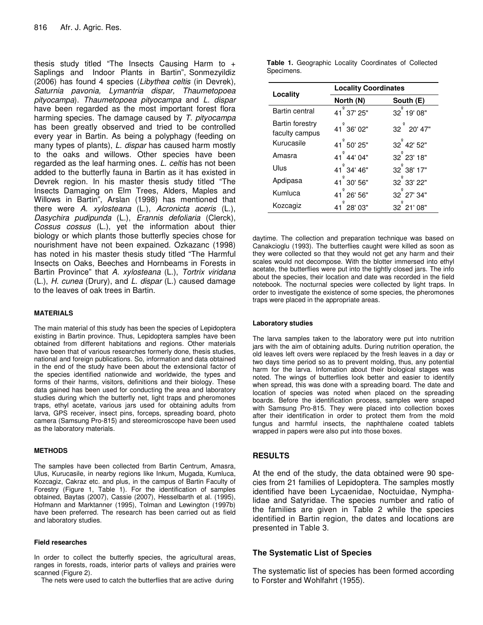thesis study titled "The Insects Causing Harm to  $+$ Saplings and Indoor Plants in Bartin", Sonmezyildiz (2006) has found 4 species (*Libythea celtis* (in Devrek)*, Saturnia pavonia, Lymantria dispar, Thaumetopoea pityocampa*). *Thaumetopoea pityocampa* and *L. dispar* have been regarded as the most important forest flora harming species. The damage caused by *T. pityocampa* has been greatly observed and tried to be controlled every year in Bartin. As being a polyphagy (feeding on many types of plants), *L. dispar* has caused harm mostly to the oaks and willows. Other species have been regarded as the leaf harming ones. *L. celtis* has not been added to the butterfly fauna in Bartin as it has existed in Devrek region. In his master thesis study titled "The Insects Damaging on Elm Trees, Alders, Maples and Willows in Bartin", Arslan (1998) has mentioned that there were *A. xylosteana* (L.), *Acronicta aceris* (L.), *Dasychira pudipunda* (L.), *Erannis defoliaria* (Clerck), *Cossus cossus* (L.), yet the information about thier biology or which plants those butterfly species chose for nourishment have not been expained. Ozkazanc (1998) has noted in his master thesis study titled "The Harmful Insects on Oaks, Beeches and Hornbeams in Forests in Bartin Province" that *A. xylosteana* (L.), *Tortrix viridana* (L.), *H. cunea* (Drury), and *L. dispar* (L.) caused damage to the leaves of oak trees in Bartin.

## **MATERIALS**

The main material of this study has been the species of Lepidoptera existing in Bartin province. Thus, Lepidoptera samples have been obtained from different habitations and regions. Other materials have been that of various researches formerly done, thesis studies, national and foreign publications. So, information and data obtained in the end of the study have been about the extensional factor of the species identified nationwide and worldwide, the types and forms of their harms, visitors, definitions and their biology. These data gained has been used for conducting the area and laboratory studies during which the butterfly net, light traps and pheromones traps, ethyl acetate, various jars used for obtaining adults from larva, GPS receiver, insect pins, forceps, spreading board, photo camera (Samsung Pro-815) and stereomicroscope have been used as the laboratory materials.

#### **METHODS**

The samples have been collected from Bartin Centrum, Amasra, Ulus, Kurucasile, in nearby regions like Inkum, Mugada, Kumluca, Kozcagiz, Cakraz etc. and plus, in the campus of Bartin Faculty of Forestry (Figure 1, Table 1). For the identification of samples obtained, Baytas (2007), Cassie (2007), Hesselbarth et al. (1995), Hofmann and Marktanner (1995), Tolman and Lewington (1997b) have been preferred. The research has been carried out as field and laboratory studies.

#### **Field researches**

In order to collect the butterfly species, the agricultural areas, ranges in forests, roads, interior parts of valleys and prairies were scanned (Figure 2).

The nets were used to catch the butterflies that are active during

|            |  | <b>Table 1.</b> Geographic Locality Coordinates of Collected |  |
|------------|--|--------------------------------------------------------------|--|
| Specimens. |  |                                                              |  |

| Locality                                 | <b>Locality Coordinates</b> |                         |  |  |
|------------------------------------------|-----------------------------|-------------------------|--|--|
|                                          | North (N)                   | South (E)               |  |  |
| Bartin central                           | 41 37' 25"                  | 32 19' 08"              |  |  |
| <b>Bartin forestry</b><br>faculty campus | 41 36' 02"                  | 32 <sup>°</sup> 20' 47" |  |  |
| Kurucasile                               | 41 50' 25"                  | 32 <sup>°</sup> 42' 52" |  |  |
| Amasra                                   | 41 <sup>°</sup> 44' 04"     | 32 <sup>°</sup> 23' 18" |  |  |
| Ulus                                     | 41 <sup>°</sup> 34' 46"     | 32 <sup>°</sup> 38' 17" |  |  |
| Apdipasa                                 | 41 30' 56"                  | 32 <sup>°</sup> 33' 22" |  |  |
| Kumluca                                  | 41 <sup>°</sup> 26' 56"     | 32 <sup>°</sup> 27' 34" |  |  |
| Kozcagiz                                 | 41 28' 03"                  | $32^{°}$ 21' 08"        |  |  |

daytime. The collection and preparation technique was based on Canakcioglu (1993). The butterflies caught were killed as soon as they were collected so that they would not get any harm and their scales would not decompose. With the blotter immersed into ethyl acetate, the butterflies were put into the tightly closed jars. The info about the species, their location and date was recorded in the field notebook. The nocturnal species were collected by light traps. In order to investigate the existence of some species, the pheromones traps were placed in the appropriate areas.

#### **Laboratory studies**

The larva samples taken to the laboratory were put into nutrition jars with the aim of obtaining adults. During nutrition operation, the old leaves left overs were replaced by the fresh leaves in a day or two days time period so as to prevent molding, thus, any potential harm for the larva. Infomation about their biological stages was noted. The wings of butterflies look better and easier to identify when spread, this was done with a spreading board. The date and location of species was noted when placed on the spreading boards. Before the identification process, samples were snaped with Samsung Pro-815. They were placed into collection boxes after their identification in order to protect them from the mold fungus and harmful insects, the naphthalene coated tablets wrapped in papers were also put into those boxes.

## **RESULTS**

At the end of the study, the data obtained were 90 species from 21 families of Lepidoptera. The samples mostly identified have been Lycaenidae, Noctuidae, Nymphalidae and Satyridae. The species number and ratio of the families are given in Table 2 while the species identified in Bartin region, the dates and locations are presented in Table 3.

## **The Systematic List of Species**

The systematic list of species has been formed according to Forster and Wohlfahrt (1955).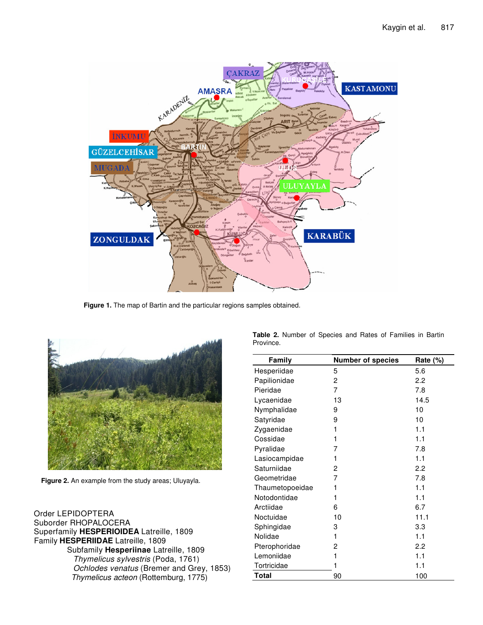

**Figure 1.** The map of Bartin and the particular regions samples obtained.



**Figure 2.** An example from the study areas; Uluyayla.

| Order LEPIDOPTERA                        |  |
|------------------------------------------|--|
| Suborder RHOPALOCERA                     |  |
| Superfamily HESPERIOIDEA Latreille, 1809 |  |
| Family HESPERIIDAE Latreille, 1809       |  |
| Subfamily Hesperiinae Latreille, 1809    |  |
| Thymelicus sylvestris (Poda, 1761)       |  |
| Ochlodes venatus (Bremer and Grey, 1853) |  |
| Thymelicus acteon (Rottemburg, 1775)     |  |

| Family          | <b>Number of species</b> | Rate (%) |  |
|-----------------|--------------------------|----------|--|
| Hesperiidae     | 5                        | 5.6      |  |
| Papilionidae    | $\mathbf{2}$             | 2.2      |  |
| Pieridae        | 7                        | 7.8      |  |
| Lycaenidae      | 13                       | 14.5     |  |
| Nymphalidae     | 9                        | 10       |  |
| Satyridae       | 9                        | 10       |  |
| Zygaenidae      | 1                        | 1.1      |  |
| Cossidae        | 1                        | 1.1      |  |
| Pyralidae       | 7                        | 7.8      |  |
| Lasiocampidae   | 1                        | 1.1      |  |
| Saturniidae     | 2                        | 2.2      |  |
| Geometridae     | 7                        | 7.8      |  |
| Thaumetopoeidae | 1                        | 1.1      |  |
| Notodontidae    | 1                        | 1.1      |  |
| Arctiidae       | 6                        | 6.7      |  |
| Noctuidae       | 10                       | 11.1     |  |
| Sphingidae      | 3                        | 3.3      |  |
| Nolidae         | 1                        | 1.1      |  |
| Pterophoridae   | 2                        | 2.2      |  |
| Lemoniidae      | 1                        | 1.1      |  |
| Tortricidae     | 1                        | 1.1      |  |
| Total           | 90                       | 100      |  |

**Table 2.** Number of Species and Rates of Families in Bartin Province.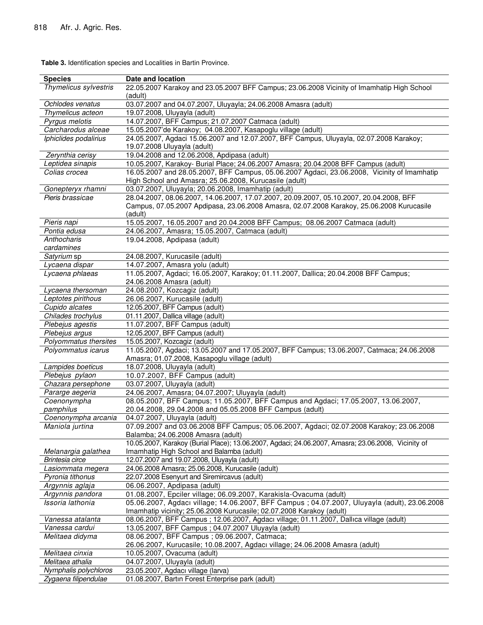**Species Date and location** *Thymelicus sylvestris* 22.05.2007 Karakoy and 23.05.2007 BFF Campus; 23.06.2008 Vicinity of Imamhatip High School (adult) *Ochlodes venatus* 03.07.2007 and 04.07.2007, Uluyayla; 24.06.2008 Amasra (adult) *Thymelicus acteon* 19.07.2008, Uluyayla (adult) *Pyrgus melotis* 14.07.2007, BFF Campus; 21.07.2007 Catmaca (adult) *Carcharodus alceae* 15.05.2007'de Karakoy; 04.08.2007, Kasapoglu village (adult) *Iphiclides podalirius* 24.05.2007, Agdaci 15.06.2007 and 12.07.2007, BFF Campus, Uluyayla, 02.07.2008 Karakoy; 19.07.2008 Uluyayla (adult) *Zerynthia cerisy* 19.04.2008 and 12.06.2008, Apdipasa (adult) *Leptidea sinapis* 10.05.2007, Karakoy- Burial Place; 24.06.2007 Amasra; 20.04.2008 BFF Campus (adult) *Colias crocea* 16.05.2007 and 28.05.2007, BFF Campus, 05.06.2007 Agdaci, 23.06.2008, Vicinity of Imamhatip High School and Amasra; 25.06.2008, Kurucasile (adult) *Gonepteryx rhamni* 03.07.2007, Uluyayla; 20.06.2008, Imamhatip (adult) *Pieris brassicae* 28.04.2007, 08.06.2007, 14.06.2007, 17.07.2007, 20.09.2007, 05.10.2007, 20.04.2008, BFF Campus, 07.05.2007 Apdipasa, 23.06.2008 Amasra, 02.07.2008 Karakoy, 25.06.2008 Kurucasile (adult) *Pieris napi* 15.05.2007, 16.05.2007 and 20.04.2008 BFF Campus; 08.06.2007 Catmaca (adult) *Pontia edusa* 24.06.2007, Amasra; 15.05.2007, Catmaca (adult) *Anthocharis cardamines* 19.04.2008, Apdipasa (adult) *Satyrium* sp 24.08.2007, Kurucasile (adult) *Lycaena dispar* 14.07.2007, Amasra yolu (adult) *Lycaena phlaeas* 11.05.2007, Agdaci; 16.05.2007, Karakoy; 01.11.2007, Dallica; 20.04.2008 BFF Campus; 24.06.2008 Amasra (adult) *Lycaena thersoman* 24.08.2007, Kozcagiz (adult) *Leptotes pirithous* 26.06.2007, Kurucasile (adult) *Cupido alcates* 12.05.2007, BFF Campus (adult) *Chilades trochylus* 01.11.2007, Dallica village (adult) *Plebejus agestis* 11.07.2007, BFF Campus (adult) *Plebejus argus* 12.05.2007, BFF Campus (adult) *Polyommatus thersites* 15.05.2007, Kozcagiz (adult) *Polyommatus icarus* 11.05.2007, Agdaci; 13.05.2007 and 17.05.2007, BFF Campus; 13.06.2007, Catmaca; 24.06.2008 Amasra; 01.07.2008, Kasapoglu village (adult) *Lampides boeticus* 18.07.2008, Uluyayla (adult) *Plebejus pylaon* 10.07.2007, BFF Campus (adult) *Chazara persephone* 03.07.2007, Uluyayla (adult) *Pararge aegeria* 24.06.2007, Amasra; 04.07.2007; Uluyayla (adult) *Coenonympha pamphilus* 08.05.2007, BFF Campus; 11.05.2007, BFF Campus and Agdaci; 17.05.2007, 13.06.2007, 20.04.2008, 29.04.2008 and 05.05.2008 BFF Campus (adult) *Coenonympha arcania* 04.07.2007, Uluyayla (adult) *Maniola jurtina* 07.09.2007 and 03.06.2008 BFF Campus; 05.06.2007, Agdaci; 02.07.2008 Karakoy; 23.06.2008 Balamba; 24.06.2008 Amasra (adult) *Melanargia galathea* 10.05.2007, Karakoy (Burial Place); 13.06.2007, Agdaci; 24.06.2007, Amasra; 23.06.2008, Vicinity of Imamhatip High School and Balamba (adult) *Brintesia circe* 12.07.2007 and 19.07.2008, Uluyayla (adult) *Lasiommata megera* 24.06.2008 Amasra; 25.06.2008, Kurucasile (adult) *Pyronia tithonus* 22.07.2008 Esenyurt and Siremircavus (adult) *Argynnis aglaja* 06.06.2007, Apdipasa (adult) *Argynnis pandora* 01.08.2007, Epciler village; 06.09.2007, Karakisla-Ovacuma (adult) *Issoria lathonia* 05.06.2007, Agdacı village; 14.06.2007, BFF Campus ; 04.07.2007, Uluyayla (adult), 23.06.2008 Imamhatip vicinity; 25.06.2008 Kurucasile; 02.07.2008 Karakoy (adult) *Vanessa atalanta* 08.06.2007, BFF Campus ; 12.06.2007, Agdacı village; 01.11.2007, Dallıca village (adult) *Vanessa cardui* 13.05.2007, BFF Campus ; 04.07.2007 Uluyayla (adult) *Melitaea didyma* 08.06.2007, BFF Campus ; 09.06.2007, Catmaca; 26.06.2007, Kurucasile; 10.08.2007, Agdacı village; 24.06.2008 Amasra (adult) *Melitaea cinxia* 10.05.2007, Ovacuma (adult) *Melitaea athalia* 04.07.2007, Uluyayla (adult) *Nymphalis polychloros* 23.05.2007, Agdacı village (larva)

**Table 3.** Identification species and Localities in Bartin Province.

*Zygaena filipendulae* 01.08.2007, Bartın Forest Enterprise park (adult)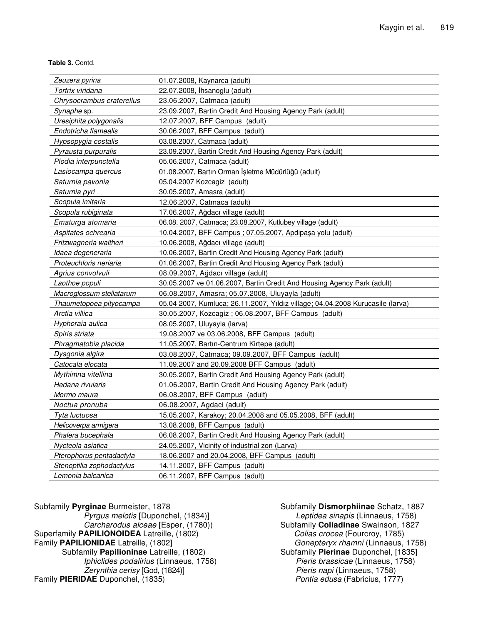**Table 3.** Contd.

| Zeuzera pyrina            | 01.07.2008, Kaynarca (adult)                                                   |
|---------------------------|--------------------------------------------------------------------------------|
| Tortrix viridana          | 22.07.2008, İhsanoglu (adult)                                                  |
| Chrysocrambus craterellus | 23.06.2007, Catmaca (adult)                                                    |
| Synaphe sp.               | 23.09.2007, Bartin Credit And Housing Agency Park (adult)                      |
| Uresiphita polygonalis    | 12.07.2007, BFF Campus (adult)                                                 |
| Endotricha flamealis      | 30.06.2007, BFF Campus (adult)                                                 |
| Hypsopygia costalis       | 03.08.2007, Catmaca (adult)                                                    |
| Pyrausta purpuralis       | 23.09.2007, Bartin Credit And Housing Agency Park (adult)                      |
| Plodia interpunctella     | 05.06.2007, Catmaca (adult)                                                    |
| Lasiocampa quercus        | 01.08.2007, Bartın Orman İşletme Müdürlüğü (adult)                             |
| Saturnia pavonia          | 05.04.2007 Kozcagiz (adult)                                                    |
| Saturnia pyri             | 30.05.2007, Amasra (adult)                                                     |
| Scopula imitaria          | 12.06.2007, Catmaca (adult)                                                    |
| Scopula rubiginata        | 17.06.2007, Ağdacı village (adult)                                             |
| Ematurga atomaria         | 06.08. 2007, Catmaca; 23.08.2007, Kutlubey village (adult)                     |
| Aspitates ochrearia       | 10.04.2007, BFF Campus ; 07.05.2007, Apdipaşa yolu (adult)                     |
| Fritzwagneria waltheri    | 10.06.2008, Ağdacı village (adult)                                             |
| Idaea degeneraria         | 10.06.2007, Bartin Credit And Housing Agency Park (adult)                      |
| Proteuchloris neriaria    | 01.06.2007, Bartin Credit And Housing Agency Park (adult)                      |
| Agrius convolvuli         | 08.09.2007, Ağdacı village (adult)                                             |
| Laothoe populi            | 30.05.2007 ve 01.06.2007, Bartin Credit And Housing Agency Park (adult)        |
| Macroglossum stellatarum  | 06.08.2007, Amasra; 05.07.2008, Uluyayla (adult)                               |
| Thaumetopoea pityocampa   | 05.04 2007, Kumluca; 26.11.2007, Yıldız village; 04.04.2008 Kurucasile (larva) |
| Arctia villica            | 30.05.2007, Kozcagiz; 06.08.2007, BFF Campus (adult)                           |
| Hyphoraia aulica          | 08.05.2007, Uluyayla (larva)                                                   |
| Spiris striata            | 19.08.2007 ve 03.06.2008, BFF Campus (adult)                                   |
| Phragmatobia placida      | 11.05.2007, Bartin-Centrum Kirtepe (adult)                                     |
| Dysgonia algira           | 03.08.2007, Catmaca; 09.09.2007, BFF Campus (adult)                            |
| Catocala elocata          | 11.09.2007 and 20.09.2008 BFF Campus (adult)                                   |
| Mythimna vitellina        | 30.05.2007, Bartin Credit And Housing Agency Park (adult)                      |
| Hedana rivularis          | 01.06.2007, Bartin Credit And Housing Agency Park (adult)                      |
| Mormo maura               | 06.08.2007, BFF Campus (adult)                                                 |
| Noctua pronuba            | 06.08.2007, Agdaci (adult)                                                     |
| Tyta luctuosa             | 15.05.2007, Karakoy; 20.04.2008 and 05.05.2008, BFF (adult)                    |
| Helicoverpa armigera      | 13.08.2008, BFF Campus (adult)                                                 |
| Phalera bucephala         | 06.08.2007, Bartin Credit And Housing Agency Park (adult)                      |
| Nycteola asiatica         | 24.05.2007, Vicinity of industrial zon (Larva)                                 |
| Pterophorus pentadactyla  | 18.06.2007 and 20.04.2008, BFF Campus (adult)                                  |
| Stenoptilia zophodactylus | 14.11.2007, BFF Campus (adult)                                                 |
| Lemonia balcanica         | 06.11.2007, BFF Campus (adult)                                                 |

Subfamily **Pyrginae** Burmeister, 1878 *Pyrgus melotis* [Duponchel, (1834)] *Carcharodus alceae* [Esper, (1780)) Superfamily **PAPILIONOIDEA** Latreille, (1802) Family **PAPILIONIDAE** Latreille, (1802] Subfamily **Papilioninae** Latreille, (1802) *Iphiclides podalirius* (Linnaeus, 1758) *Zerynthia cerisy* [God, (1824)] Family **PIERIDAE** Duponchel, (1835)

Subfamily **Dismorphiinae** Schatz, 1887 *Leptidea sinapis* (Linnaeus, 1758) Subfamily **Coliadinae** Swainson, 1827 *Colias crocea* (Fourcroy, 1785) *Gonepteryx rhamni* (Linnaeus, 1758) Subfamily **Pierinae** Duponchel, [1835] *Pieris brassicae* (Linnaeus, 1758) *Pieris napi* (Linnaeus, 1758) *Pontia edusa* (Fabricius, 1777)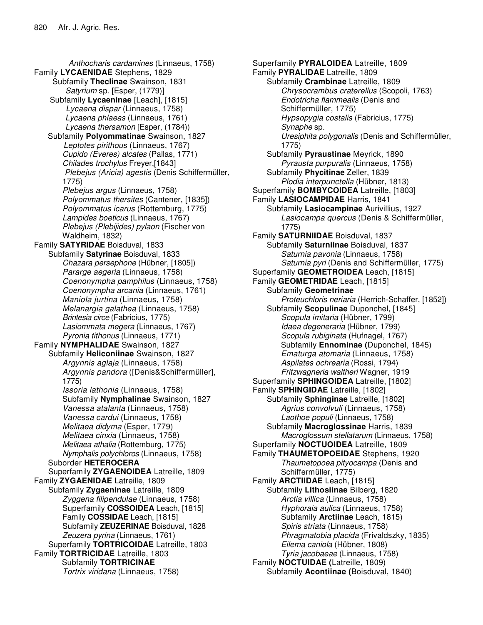*Anthocharis cardamines* (Linnaeus, 1758) Family **LYCAENIDAE** Stephens, 1829 Subfamily **Theclinae** Swainson, 1831 *Satyrium* sp*.* [Esper, (1779)] Subfamily **Lycaeninae** [Leach], [1815] *Lycaena dispar* (Linnaeus, 1758) *Lycaena phlaeas* (Linnaeus, 1761) *Lycaena thersamon* [Esper, (1784)) Subfamily **Polyommatinae** Swainson, 1827 *Leptotes pirithous* (Linnaeus, 1767) *Cupido (Everes) alcates* (Pallas, 1771) *Chilades trochylus* Freyer,[1843] *Plebejus (Aricia) agestis* (Denis Schiffermüller, 1775) *Plebejus argus* (Linnaeus, 1758) *Polyommatus thersites* (Cantener, [1835]) *Polyommatus icarus* (Rottemburg, 1775) *Lampides boeticus* (Linnaeus, 1767) *Plebejus (Plebijides) pylaon* (Fischer von Waldheim, 1832) Family **SATYRIDAE** Boisduval, 1833 Subfamily **Satyrinae** Boisduval, 1833 *Chazara persephone* (Hübner, [1805]) *Pararge aegeria* (Linnaeus, 1758) *Coenonympha pamphilus* (Linnaeus, 1758) *Coenonympha arcania* (Linnaeus, 1761) *Maniola jurtina* (Linnaeus, 1758) *Melanargia galathea* (Linnaeus, 1758) *Brintesia circe* (Fabricius, 1775) *Lasiommata megera* (Linnaeus, 1767) *Pyronia tithonus* (Linnaeus, 1771) Family **NYMPHALIDAE** Swainson, 1827 Subfamily **Heliconiinae** Swainson, 1827 *Argynnis aglaja* (Linnaeus, 1758) *Argynnis pandora* ([Denis&Schiffermüller], 1775) *Issoria lathonia* (Linnaeus, 1758) Subfamily **Nymphalinae** Swainson, 1827 *Vanessa atalanta* (Linnaeus, 1758) *Vanessa cardui* (Linnaeus, 1758) *Melitaea didyma* (Esper, 1779) *Melitaea cinxia* (Linnaeus, 1758) *Melitaea athalia* (Rottemburg, 1775) *Nymphalis polychloros* (Linnaeus, 1758) Suborder **HETEROCERA** Superfamily **ZYGAENOIDEA** Latreille, 1809 Family **ZYGAENIDAE** Latreille, 1809 Subfamily **Zygaeninae** Latreille, 1809 *Zyggena filipendulae* (Linnaeus, 1758) Superfamily **COSSOIDEA** Leach, [1815] Family **COSSIDAE** Leach, [1815] Subfamily **ZEUZERINAE** Boisduval, 1828 *Zeuzera pyrina* (Linnaeus, 1761) Superfamily **TORTRICOIDAE** Latreille, 1803 Family **TORTRICIDAE** Latreille, 1803 Subfamily **TORTRICINAE** *Tortrix viridana* (Linnaeus, 1758)

Superfamily **PYRALOIDEA** Latreille, 1809 Family **PYRALIDAE** Latreille, 1809 Subfamily **Crambinae** Latreille, 1809 *Chrysocrambus craterellus* (Scopoli, 1763) *Endotricha flammealis* (Denis and Schiffermüller, 1775) *Hypsopygia costalis* (Fabricius, 1775) *Synaphe* sp. *Uresiphita polygonalis* (Denis and Schiffermüller, 1775) Subfamily **Pyraustinae** Meyrick, 1890 *Pyrausta purpuralis* (Linnaeus, 1758) Subfamily **Phycitinae** Zeller, 1839 *Plodia interpunctella* (Hübner, 1813) Superfamily **BOMBYCOIDEA** Latreille, [1803] Family **LASIOCAMPIDAE** Harris, 1841 Subfamily **Lasiocampinae** Aurivillius, 1927 *Lasiocampa quercus* (Denis & Schiffermüller, 1775) Family **SATURNIIDAE** Boisduval, 1837 Subfamily **Saturniinae** Boisduval, 1837 *Saturnia pavonia* (Linnaeus, 1758) *Saturnia pyri* (Denis and Schiffermüller, 1775) Superfamily **GEOMETROIDEA** Leach, [1815] Family **GEOMETRIDAE** Leach, [1815] Subfamily **Geometrinae** *Proteuchloris neriaria* (Herrich-Schaffer, [1852]) Subfamily **Scopulinae** Duponchel, [1845] *Scopula imitaria* (Hübner, 1799) *Idaea degeneraria* (Hübner, 1799) *Scopula rubiginata* (Hufnagel, 1767) Subfamily **Ennominae (**Duponchel, 1845) *Ematurga atomaria* (Linnaeus, 1758) *Aspilates ochrearia* (Rossi, 1794) *Fritzwagneria waltheri* Wagner, 1919 Superfamily **SPHINGOIDEA** Latreille, [1802] Family **SPHINGIDAE** Latreille, [1802] Subfamily **Sphinginae** Latreille, [1802] *Agrius convolvuli* (Linnaeus, 1758) *Laothoe populi* (Linnaeus, 1758) Subfamily **Macroglossinae** Harris, 1839 *Macroglossum stellatarum* (Linnaeus, 1758) Superfamily **NOCTUOIDEA** Latreille, 1809 Family **THAUMETOPOEIDAE** Stephens, 1920 *Thaumetopoea pityocampa* (Denis and Schiffermüller, 1775) Family **ARCTIIDAE** Leach, [1815] Subfamily **Lithosiinae** Bilberg, 1820 *Arctia villica* (Linnaeus, 1758) *Hyphoraia aulica* (Linnaeus, 1758) Subfamily **Arctiinae** Leach, 1815) *Spiris striata* (Linnaeus, 1758) *Phragmatobia placida* (Frivaldszky, 1835) *Eilema caniola* (Hübner, 1808) *Tyria jacobaeae* (Linnaeus, 1758) Family **NOCTUIDAE (**Latreille, 1809) Subfamily **Acontiinae (**Boisduval, 1840)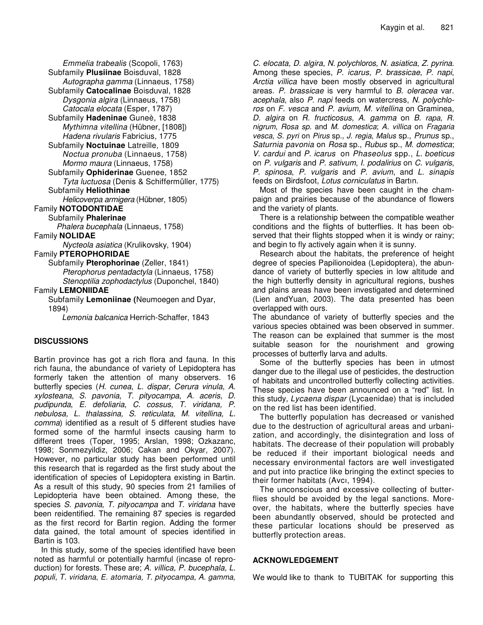*Emmelia trabealis* (Scopoli, 1763) Subfamily **Plusiinae** Boisduval, 1828 *Autographa gamma* (Linnaeus, 1758) Subfamily **Catocalinae** Boisduval, 1828 *Dysgonia algira* (Linnaeus, 1758) *Catocala elocata* (Esper, 1787) Subfamily **Hadeninae** Guneè, 1838 *Mythimna vitellina* (Hübner, [1808]) *Hadena rivularis* Fabricius, 1775 Subfamily **Noctuinae** Latreille, 1809 *Noctua pronuba* (Linnaeus, 1758) *Mormo maura* (Linnaeus, 1758) Subfamily **Ophiderinae** Guenee, 1852 *Tyta luctuosa* (Denis & Schiffermüller, 1775) Subfamily **Heliothinae** *Helicoverpa armigera* (Hübner, 1805) Family **NOTODONTIDAE** Subfamily **Phalerinae** *Phalera bucephala* (Linnaeus, 1758) Family **NOLIDAE** *Nycteola asiatica* (Krulikovsky, 1904) Family **PTEROPHORIDAE** Subfamily **Pterophorinae** (Zeller, 1841) *Pterophorus pentadactyla* (Linnaeus, 1758) *Stenoptilia zophodactylus* (Duponchel, 1840) Family **LEMONIIDAE** Subfamily **Lemoniinae (**Neumoegen and Dyar, 1894) *Lemonia balcanica* Herrich-Schaffer, 1843

# **DISCUSSIONS**

Bartin province has got a rich flora and fauna. In this rich fauna, the abundance of variety of Lepidoptera has formerly taken the attention of many observers. 16 butterfly species (*H. cunea*, *L. dispar*, *Cerura vinula*, *A. xylosteana*, *S. pavonia*, *T. pityocampa*, *A. aceris*, *D. pudipunda*, *E. defoliaria*, *C. cossus*, *T. viridana, P. nebulosa, L. thalassina, S. reticulata, M. vitellina, L. comma*) identified as a result of 5 different studies have formed some of the harmful insects causing harm to different trees (Toper, 1995; Arslan, 1998; Ozkazanc, 1998; Sonmezyildiz, 2006; Cakan and Okyar, 2007). However, no particular study has been performed until this research that is regarded as the first study about the identification of species of Lepidoptera existing in Bartin. As a result of this study, 90 species from 21 families of Lepidopteria have been obtained. Among these, the species *S. pavonia*, *T. pityocampa* and *T. viridana* have been reidentified. The remaining 87 species is regarded as the first record for Bartin region. Adding the former data gained, the total amount of species identified in Bartin is 103.

In this study, some of the species identified have been noted as harmful or potentially harmful (incase of reproduction) for forests. These are; *A. villica, P. bucephala, L. populi, T. viridana*, *E. atomaria, T. pityocampa, A. gamma,*

*C. elocata, D. algira*, *N. polychloros*, *N. asiatica*, *Z. pyrina*. Among these species, *P. icarus*, *P. brassicae*, *P. napi*, *Arctia villica* have been mostly observed in agricultural areas. *P. brassicae* is very harmful to *B. oleracea* var. *acephala*, also *P. napi* feeds on watercress, *N. polychloros* on *F. vesca* and *P. avium, M. vitellina* on Graminea, *D. algira* on *R. fructicosus*, *A. gamma* on *B. rapa*, *R. nigrum*, *Rosa sp.* and *M. domestica*; *A. villica* on *Fragaria vesca*, *S. pyri* on *Pirus* sp., *J. regia*, *Malus* sp., *Prunus* sp., *Saturnia pavonia* on *Rosa* sp., *Rubus* sp., *M. domestica*; *V. cardui* and *P. icarus* on *Phaseolus* spp., *L. boeticus* on *P. vulgaris* and *P. sativum*, *I. podalirius* on *C. vulgaris*, *P. spinosa*, *P. vulgaris* and *P. avium*, and *L. sinapis* feeds on Birdsfoot, *Lotus corniculatus* in Bartın.

Most of the species have been caught in the champaign and prairies because of the abundance of flowers and the variety of plants.

There is a relationship between the compatible weather conditions and the flights of butterflies. It has been observed that their flights stopped when it is windy or rainy; and begin to fly actively again when it is sunny.

Research about the habitats, the preference of height degree of species Papilionoidea (Lepidoptera), the abundance of variety of butterfly species in low altitude and the high butterfly density in agricultural regions, bushes and plains areas have been investigated and determined (Lien andYuan, 2003). The data presented has been overlapped with ours.

The abundance of variety of butterfly species and the various species obtained was been observed in summer. The reason can be explained that summer is the most suitable season for the nourishment and growing processes of butterfly larva and adults.

Some of the butterfly species has been in utmost danger due to the illegal use of pesticides, the destruction of habitats and uncontrolled butterfly collecting activities. These species have been announced on a "red" list. In this study, *Lycaena dispar* (Lycaenidae) that is included on the red list has been identified.

The butterfly population has decreased or vanished due to the destruction of agricultural areas and urbanization, and accordingly, the disintegration and loss of habitats. The decrease of their population will probably be reduced if their important biological needs and necessary environmental factors are well investigated and put into practice like bringing the extinct species to their former habitats (Avcı, 1994).

The unconscious and excessive collecting of butterflies should be avoided by the legal sanctions. Moreover, the habitats, where the butterfly species have been abundantly observed, should be protected and these particular locations should be preserved as butterfly protection areas.

## **ACKNOWLEDGEMENT**

We would like to thank to TUBITAK for supporting this